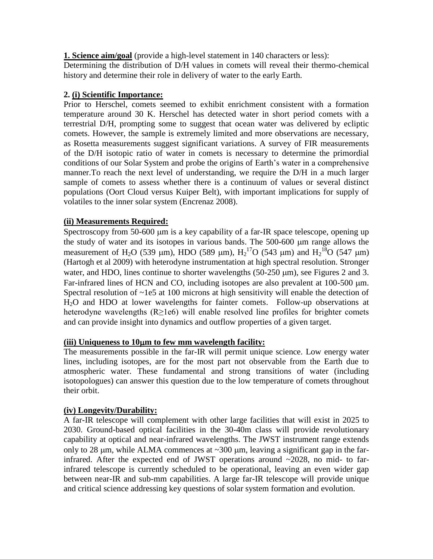**1. Science aim/goal** (provide a high-level statement in 140 characters or less):

Determining the distribution of D/H values in comets will reveal their thermo-chemical history and determine their role in delivery of water to the early Earth.

# **2. (i) Scientific Importance:**

Prior to Herschel, comets seemed to exhibit enrichment consistent with a formation temperature around 30 K. Herschel has detected water in short period comets with a terrestrial D/H, prompting some to suggest that ocean water was delivered by ecliptic comets. However, the sample is extremely limited and more observations are necessary, as Rosetta measurements suggest significant variations. A survey of FIR measurements of the D/H isotopic ratio of water in comets is necessary to determine the primordial conditions of our Solar System and probe the origins of Earth's water in a comprehensive manner.To reach the next level of understanding, we require the D/H in a much larger sample of comets to assess whether there is a continuum of values or several distinct populations (Oort Cloud versus Kuiper Belt), with important implications for supply of volatiles to the inner solar system (Encrenaz 2008).

# **(ii) Measurements Required:**

Spectroscopy from 50-600 µm is a key capability of a far-IR space telescope, opening up the study of water and its isotopes in various bands. The 500-600 µm range allows the measurement of H<sub>2</sub>O (539 µm), HDO (589 µm), H<sub>2</sub><sup>17</sup>O (543 µm) and H<sub>2</sub><sup>18</sup>O (547 µm) (Hartogh et al 2009) with heterodyne instrumentation at high spectral resolution. Stronger water, and HDO, lines continue to shorter wavelengths  $(50-250 \mu m)$ , see Figures 2 and 3. Far-infrared lines of HCN and CO, including isotopes are also prevalent at  $100-500 \mu m$ . Spectral resolution of  $\sim$ 1e5 at 100 microns at high sensitivity will enable the detection of H2O and HDO at lower wavelengths for fainter comets. Follow-up observations at heterodyne wavelengths (R≥1e6) will enable resolved line profiles for brighter comets and can provide insight into dynamics and outflow properties of a given target.

### **(iii) Uniqueness to 10m to few mm wavelength facility:**

The measurements possible in the far-IR will permit unique science. Low energy water lines, including isotopes, are for the most part not observable from the Earth due to atmospheric water. These fundamental and strong transitions of water (including isotopologues) can answer this question due to the low temperature of comets throughout their orbit.

# **(iv) Longevity/Durability:**

A far-IR telescope will complement with other large facilities that will exist in 2025 to 2030. Ground-based optical facilities in the 30-40m class will provide revolutionary capability at optical and near-infrared wavelengths. The JWST instrument range extends only to 28  $\mu$ m, while ALMA commences at  $\sim$ 300  $\mu$ m, leaving a significant gap in the farinfrared. After the expected end of JWST operations around  $\sim$ 2028, no mid- to farinfrared telescope is currently scheduled to be operational, leaving an even wider gap between near-IR and sub-mm capabilities. A large far-IR telescope will provide unique and critical science addressing key questions of solar system formation and evolution.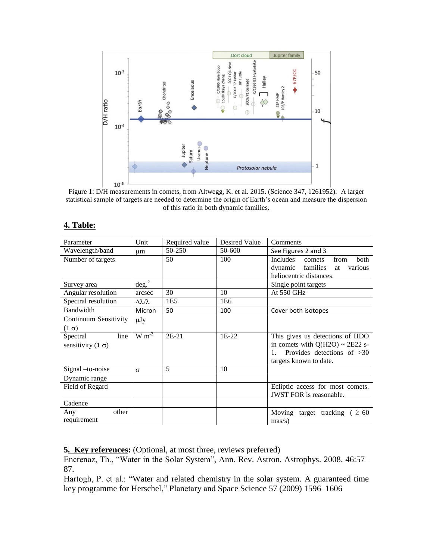

Figure 1: D/H measurements in comets, from Altwegg, K. et al. 2015. (Science 347, 1261952). A larger statistical sample of targets are needed to determine the origin of Earth's ocean and measure the dispersion of this ratio in both dynamic families.

| Parameter                                    | Unit                       | Required value | Desired Value   | Comments                                                                                                                          |
|----------------------------------------------|----------------------------|----------------|-----------------|-----------------------------------------------------------------------------------------------------------------------------------|
| Wavelength/band                              | μm                         | 50-250         | 50-600          | See Figures 2 and 3                                                                                                               |
| Number of targets                            |                            | 50             | 100             | Includes<br>from<br>both<br>comets<br>dynamic families<br>various<br>at<br>heliocentric distances.                                |
| Survey area                                  | deg. <sup>2</sup>          |                |                 | Single point targets                                                                                                              |
| Angular resolution                           | arcsec                     | 30             | 10              | At 550 GHz                                                                                                                        |
| Spectral resolution                          | $\Delta \lambda / \lambda$ | 1E5            | 1E <sub>6</sub> |                                                                                                                                   |
| Bandwidth                                    | Micron                     | 50             | 100             | Cover both isotopes                                                                                                               |
| Continuum Sensitivity<br>$(1 \sigma)$        | $\mu$ Jy                   |                |                 |                                                                                                                                   |
| line<br>Spectral<br>sensitivity $(1 \sigma)$ | $W \overline{m^2}$         | $2E-21$        | $1E-22$         | This gives us detections of HDO<br>in comets with $Q(H2O) \sim 2E22$ s-<br>Provides detections of $>30$<br>targets known to date. |
| Signal -to-noise                             | $\sigma$                   | 5              | 10              |                                                                                                                                   |
| Dynamic range                                |                            |                |                 |                                                                                                                                   |
| Field of Regard                              |                            |                |                 | Ecliptic access for most comets.<br>JWST FOR is reasonable.                                                                       |
| Cadence                                      |                            |                |                 |                                                                                                                                   |
| other<br>Any<br>requirement                  |                            |                |                 | Moving target tracking ( $\geq 60$ )<br>$\text{mas/s}$ )                                                                          |

#### **4. Table:**

**5. Key references:** (Optional, at most three, reviews preferred)

Encrenaz, Th., "Water in the Solar System", Ann. Rev. Astron. Astrophys. 2008. 46:57– 87.

Hartogh, P. et al.: "Water and related chemistry in the solar system. A guaranteed time key programme for Herschel," Planetary and Space Science 57 (2009) 1596–1606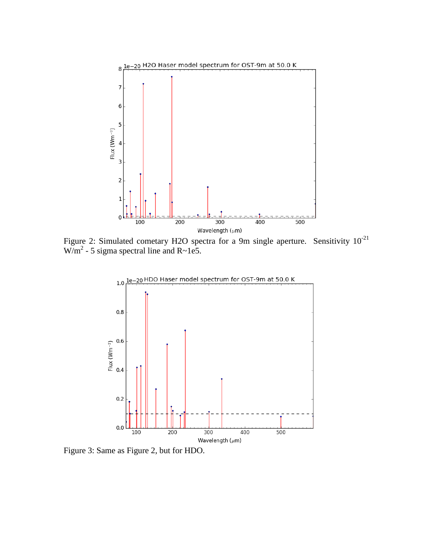

Figure 2: Simulated cometary H2O spectra for a 9m single aperture. Sensitivity  $10^{-21}$  $W/m^2$  - 5 sigma spectral line and R~1e5.



Figure 3: Same as Figure 2, but for HDO.